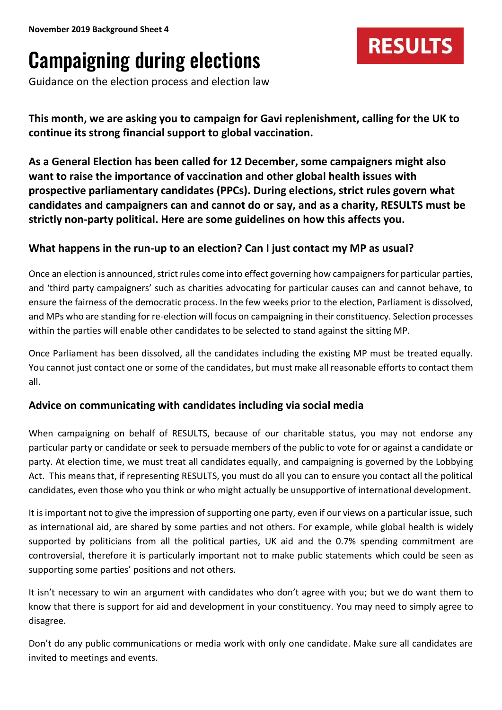# Campaigning during elections

Guidance on the election process and election law

**This month, we are asking you to campaign for Gavi replenishment, calling for the UK to continue its strong financial support to global vaccination.**

**RESULTS** 

**As a General Election has been called for 12 December, some campaigners might also want to raise the importance of vaccination and other global health issues with prospective parliamentary candidates (PPCs). During elections, strict rules govern what candidates and campaigners can and cannot do or say, and as a charity, RESULTS must be strictly non-party political. Here are some guidelines on how this affects you.** 

# **What happens in the run-up to an election? Can I just contact my MP as usual?**

Once an election is announced, strict rules come into effect governing how campaigners for particular parties, and 'third party campaigners' such as charities advocating for particular causes can and cannot behave, to ensure the fairness of the democratic process. In the few weeks prior to the election, Parliament is dissolved, and MPs who are standing for re-election will focus on campaigning in their constituency. Selection processes within the parties will enable other candidates to be selected to stand against the sitting MP.

Once Parliament has been dissolved, all the candidates including the existing MP must be treated equally. You cannot just contact one or some of the candidates, but must make all reasonable efforts to contact them all.

### **Advice on communicating with candidates including via social media**

When campaigning on behalf of RESULTS, because of our charitable status, you may not endorse any particular party or candidate or seek to persuade members of the public to vote for or against a candidate or party. At election time, we must treat all candidates equally, and campaigning is governed by the Lobbying Act. This means that, if representing RESULTS, you must do all you can to ensure you contact all the political candidates, even those who you think or who might actually be unsupportive of international development.

It is important not to give the impression of supporting one party, even if our views on a particular issue, such as international aid, are shared by some parties and not others. For example, while global health is widely supported by politicians from all the political parties, UK aid and the 0.7% spending commitment are controversial, therefore it is particularly important not to make public statements which could be seen as supporting some parties' positions and not others.

It isn't necessary to win an argument with candidates who don't agree with you; but we do want them to know that there is support for aid and development in your constituency. You may need to simply agree to disagree.

Don't do any public communications or media work with only one candidate. Make sure all candidates are invited to meetings and events.